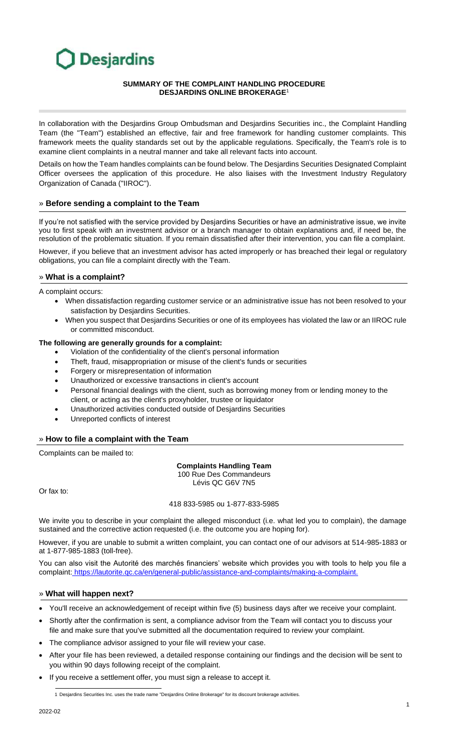# Desjardins

#### **SUMMARY OF THE COMPLAINT HANDLING PROCEDURE DESJARDINS ONLINE BROKERAGE**<sup>1</sup>

In collaboration with the Desjardins Group Ombudsman and Desjardins Securities inc., the Complaint Handling Team (the "Team") established an effective, fair and free framework for handling customer complaints. This framework meets the quality standards set out by the applicable regulations. Specifically, the Team's role is to examine client complaints in a neutral manner and take all relevant facts into account.

Details on how the Team handles complaints can be found below. The Desjardins Securities Designated Complaint Officer oversees the application of this procedure. He also liaises with the Investment Industry Regulatory Organization of Canada ("IIROC").

## » **Before sending a complaint to the Team**

If you're not satisfied with the service provided by Desjardins Securities or have an administrative issue, we invite you to first speak with an investment advisor or a branch manager to obtain explanations and, if need be, the resolution of the problematic situation. If you remain dissatisfied after their intervention, you can file a complaint.

However, if you believe that an investment advisor has acted improperly or has breached their legal or regulatory obligations, you can file a complaint directly with the Team.

### » **What is a complaint?**

A complaint occurs:

- When dissatisfaction regarding customer service or an administrative issue has not been resolved to your satisfaction by Desjardins Securities.
- When you suspect that Desjardins Securities or one of its employees has violated the law or an IIROC rule or committed misconduct.

### **The following are generally grounds for a complaint:**

- Violation of the confidentiality of the client's personal information
- Theft, fraud, misappropriation or misuse of the client's funds or securities
- Forgery or misrepresentation of information
- Unauthorized or excessive transactions in client's account
- Personal financial dealings with the client, such as borrowing money from or lending money to the client, or acting as the client's proxyholder, trustee or liquidator
- Unauthorized activities conducted outside of Desjardins Securities
- Unreported conflicts of interest

#### » **How to file a complaint with the Team**

Complaints can be mailed to:

#### **Complaints Handling Team**  100 Rue Des Commandeurs

Lévis QC G6V 7N5

Or fax to:

418 833-5985 ou 1-877-833-5985

We invite you to describe in your complaint the alleged misconduct (i.e. what led you to complain), the damage sustained and the corrective action requested (i.e. the outcome you are hoping for).

However, if you are unable to submit a written complaint, you can contact one of our advisors at 514-985-1883 or at 1-877-985-1883 (toll-free).

You can also visit the Autorité des marchés financiers' website which provides you with tools to help you file a complaint: [https://lautorite.qc.ca/en/general-public/a](https://assistance-and-complaints/making-a-complaint.)ssistance-and-complaints/making-a-complaint.

#### » **What will happen next?**

- You'll receive an acknowledgement of receipt within five (5) business days after we receive your complaint.
- Shortly after the confirmation is sent, a compliance advisor from the Team will contact you to discuss your file and make sure that you've submitted all the documentation required to review your complaint.
- The compliance advisor assigned to your file will review your case.
- After your file has been reviewed, a detailed response containing our findings and the decision will be sent to you within 90 days following receipt of the complaint.
- If you receive a settlement offer, you must sign a release to accept it.

1 Desjardins Securities Inc. uses the trade name "Desjardins Online Brokerage" for its discount brokerage activities.